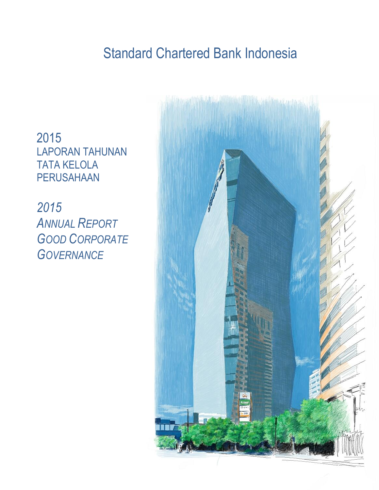## Standard Chartered Bank Indonesia

2015 LAPORAN TAHUNAN TATA KELOLA PERUSAHAAN

*2015* **A**<sup>N</sup>NUAL *REPORT GOOD CORPORATE GOVERNANCE*

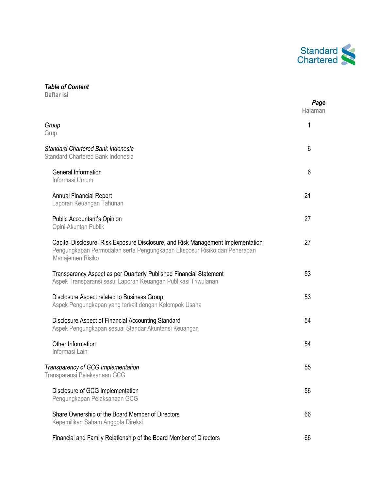

## *Table of Content*

**Daftar Isi**

|                                                                                                                                                                                  | Page<br><b>Halaman</b> |
|----------------------------------------------------------------------------------------------------------------------------------------------------------------------------------|------------------------|
| Group<br>Grup                                                                                                                                                                    | 1                      |
| Standard Chartered Bank Indonesia<br>Standard Chartered Bank Indonesia                                                                                                           | 6                      |
| <b>General Information</b><br>Informasi Umum                                                                                                                                     | 6                      |
| <b>Annual Financial Report</b><br>Laporan Keuangan Tahunan                                                                                                                       | 21                     |
| Public Accountant's Opinion<br>Opini Akuntan Publik                                                                                                                              | 27                     |
| Capital Disclosure, Risk Exposure Disclosure, and Risk Management Implementation<br>Pengungkapan Permodalan serta Pengungkapan Eksposur Risiko dan Penerapan<br>Manajemen Risiko | 27                     |
| Transparency Aspect as per Quarterly Published Financial Statement<br>Aspek Transparansi sesui Laporan Keuangan Publikasi Triwulanan                                             | 53                     |
| Disclosure Aspect related to Business Group<br>Aspek Pengungkapan yang terkait dengan Kelompok Usaha                                                                             | 53                     |
| Disclosure Aspect of Financial Accounting Standard<br>Aspek Pengungkapan sesuai Standar Akuntansi Keuangan                                                                       | 54                     |
| Other Information<br>Informasi Lain                                                                                                                                              | 54                     |
| Transparency of GCG Implementation<br>Transparansi Pelaksanaan GCG                                                                                                               | 55                     |
| Disclosure of GCG Implementation<br>Pengungkapan Pelaksanaan GCG                                                                                                                 | 56                     |
| Share Ownership of the Board Member of Directors<br>Kepemilikan Saham Anggota Direksi                                                                                            | 66                     |
| Financial and Family Relationship of the Board Member of Directors                                                                                                               | 66                     |